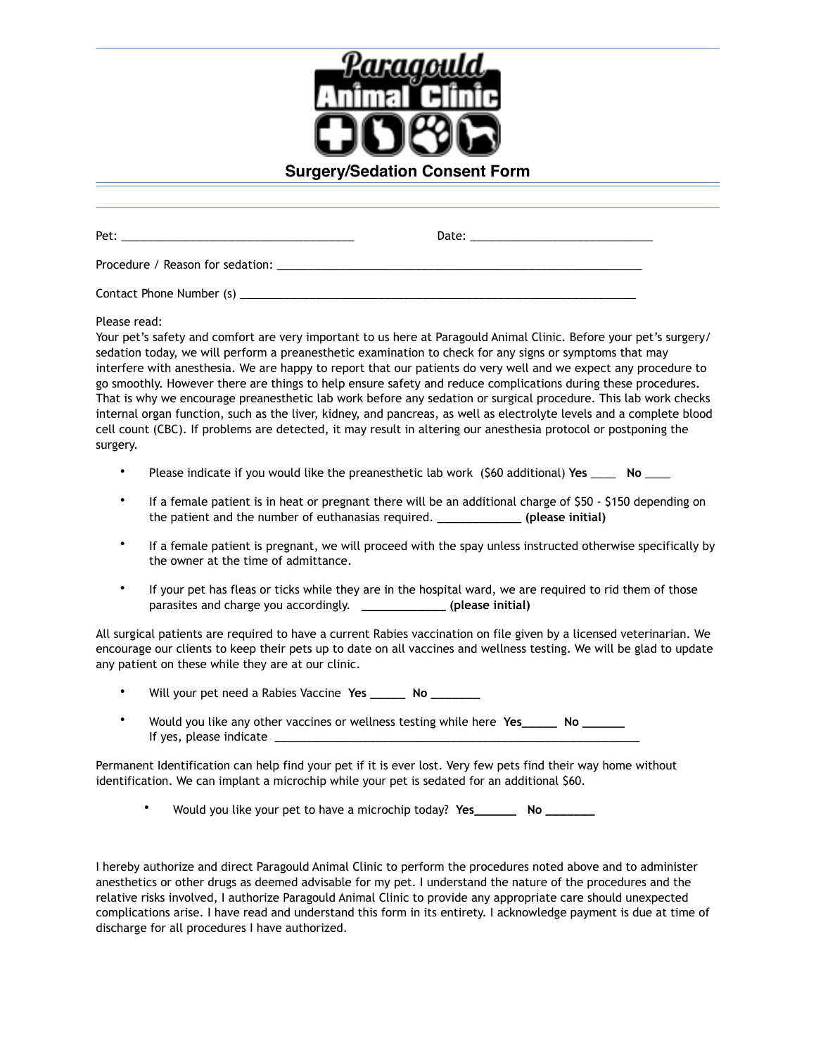

Pet: \_\_\_\_\_\_\_\_\_\_\_\_\_\_\_\_\_\_\_\_\_\_\_\_\_\_\_\_\_\_\_\_\_\_\_\_\_ Date: \_\_\_\_\_\_\_\_\_\_\_\_\_\_\_\_\_\_\_\_\_\_\_\_\_\_\_\_\_ Procedure / Reason for sedation: Contact Phone Number (s) \_\_\_\_\_\_\_\_\_\_\_\_\_\_\_\_\_\_\_\_\_\_\_\_\_\_\_\_\_\_\_\_\_\_\_\_\_\_\_\_\_\_\_\_\_\_\_\_\_\_\_\_\_\_\_\_\_\_\_\_\_\_\_ Please read: Your pet's safety and comfort are very important to us here at Paragould Animal Clinic. Before your pet's surgery/ sedation today, we will perform a preanesthetic examination to check for any signs or symptoms that may interfere with anesthesia. We are happy to report that our patients do very well and we expect any procedure to go smoothly. However there are things to help ensure safety and reduce complications during these procedures. That is why we encourage preanesthetic lab work before any sedation or surgical procedure. This lab work checks internal organ function, such as the liver, kidney, and pancreas, as well as electrolyte levels and a complete blood cell count (CBC). If problems are detected, it may result in altering our anesthesia protocol or postponing the surgery.

- Please indicate if you would like the preanesthetic lab work (\$60 additional) **Yes** \_\_\_\_ **No** \_\_\_\_
- If a female patient is in heat or pregnant there will be an additional charge of \$50 \$150 depending on the patient and the number of euthanasias required. **\_\_\_\_\_\_\_\_\_\_\_\_ (please initial)**
- If a female patient is pregnant, we will proceed with the spay unless instructed otherwise specifically by the owner at the time of admittance.
- If your pet has fleas or ticks while they are in the hospital ward, we are required to rid them of those parasites and charge you accordingly. **\_\_\_\_\_\_\_\_\_\_\_\_ (please initial)**

All surgical patients are required to have a current Rabies vaccination on file given by a licensed veterinarian. We encourage our clients to keep their pets up to date on all vaccines and wellness testing. We will be glad to update any patient on these while they are at our clinic.

- Will your pet need a Rabies Vaccine **Yes \_\_\_\_\_ No \_\_\_\_\_\_\_**
- Would you like any other vaccines or wellness testing while here **Yes\_\_\_\_\_ No \_\_\_\_\_\_** If yes, please indicate

Permanent Identification can help find your pet if it is ever lost. Very few pets find their way home without identification. We can implant a microchip while your pet is sedated for an additional \$60.

• Would you like your pet to have a microchip today? **Yes\_\_\_\_\_\_ No \_\_\_\_\_\_\_** 

I hereby authorize and direct Paragould Animal Clinic to perform the procedures noted above and to administer anesthetics or other drugs as deemed advisable for my pet. I understand the nature of the procedures and the relative risks involved, I authorize Paragould Animal Clinic to provide any appropriate care should unexpected complications arise. I have read and understand this form in its entirety. I acknowledge payment is due at time of discharge for all procedures I have authorized.